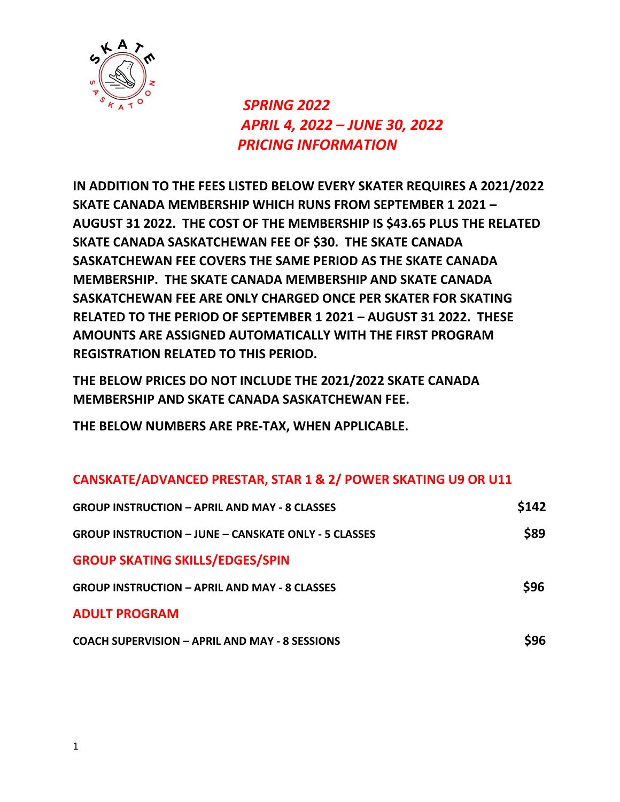

 *SPRING 2022 APRIL 4, 2022 – JUNE 30, 2022 PRICING INFORMATION*

**IN ADDITION TO THE FEES LISTED BELOW EVERY SKATER REQUIRES A 2021/2022 SKATE CANADA MEMBERSHIP WHICH RUNS FROM SEPTEMBER 1 2021 – AUGUST 31 2022. THE COST OF THE MEMBERSHIP IS \$43.65 PLUS THE RELATED SKATE CANADA SASKATCHEWAN FEE OF \$30. THE SKATE CANADA SASKATCHEWAN FEE COVERS THE SAME PERIOD AS THE SKATE CANADA MEMBERSHIP. THE SKATE CANADA MEMBERSHIP AND SKATE CANADA SASKATCHEWAN FEE ARE ONLY CHARGED ONCE PER SKATER FOR SKATING RELATED TO THE PERIOD OF SEPTEMBER 1 2021 – AUGUST 31 2022. THESE AMOUNTS ARE ASSIGNED AUTOMATICALLY WITH THE FIRST PROGRAM REGISTRATION RELATED TO THIS PERIOD.**

**THE BELOW PRICES DO NOT INCLUDE THE 2021/2022 SKATE CANADA MEMBERSHIP AND SKATE CANADA SASKATCHEWAN FEE.**

**THE BELOW NUMBERS ARE PRE-TAX, WHEN APPLICABLE.**

## **CANSKATE/ADVANCED PRESTAR, STAR 1 & 2/ POWER SKATING U9 OR U11**

| <b>GROUP INSTRUCTION – APRIL AND MAY - 8 CLASSES</b>        | \$142 |
|-------------------------------------------------------------|-------|
| <b>GROUP INSTRUCTION - JUNE - CANSKATE ONLY - 5 CLASSES</b> | \$89  |
| <b>GROUP SKATING SKILLS/EDGES/SPIN</b>                      |       |
| <b>GROUP INSTRUCTION - APRIL AND MAY - 8 CLASSES</b>        | \$96  |
| <b>ADULT PROGRAM</b>                                        |       |
| <b>COACH SUPERVISION – APRIL AND MAY - 8 SESSIONS</b>       | S96   |